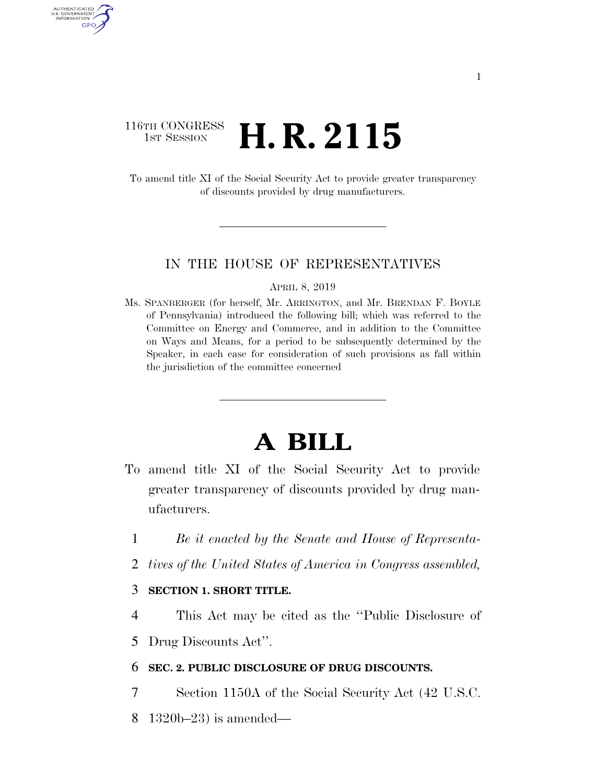## 116TH CONGRESS <sup>TH CONGRESS</sup> **H. R. 2115**

AUTHENTICATED U.S. GOVERNMENT GPO

> To amend title XI of the Social Security Act to provide greater transparency of discounts provided by drug manufacturers.

#### IN THE HOUSE OF REPRESENTATIVES

APRIL 8, 2019

Ms. SPANBERGER (for herself, Mr. ARRINGTON, and Mr. BRENDAN F. BOYLE of Pennsylvania) introduced the following bill; which was referred to the Committee on Energy and Commerce, and in addition to the Committee on Ways and Means, for a period to be subsequently determined by the Speaker, in each case for consideration of such provisions as fall within the jurisdiction of the committee concerned

# **A BILL**

- To amend title XI of the Social Security Act to provide greater transparency of discounts provided by drug manufacturers.
	- 1 *Be it enacted by the Senate and House of Representa-*
	- 2 *tives of the United States of America in Congress assembled,*

### 3 **SECTION 1. SHORT TITLE.**

4 This Act may be cited as the ''Public Disclosure of

5 Drug Discounts Act''.

### 6 **SEC. 2. PUBLIC DISCLOSURE OF DRUG DISCOUNTS.**

- 7 Section 1150A of the Social Security Act (42 U.S.C.
- 8 1320b–23) is amended—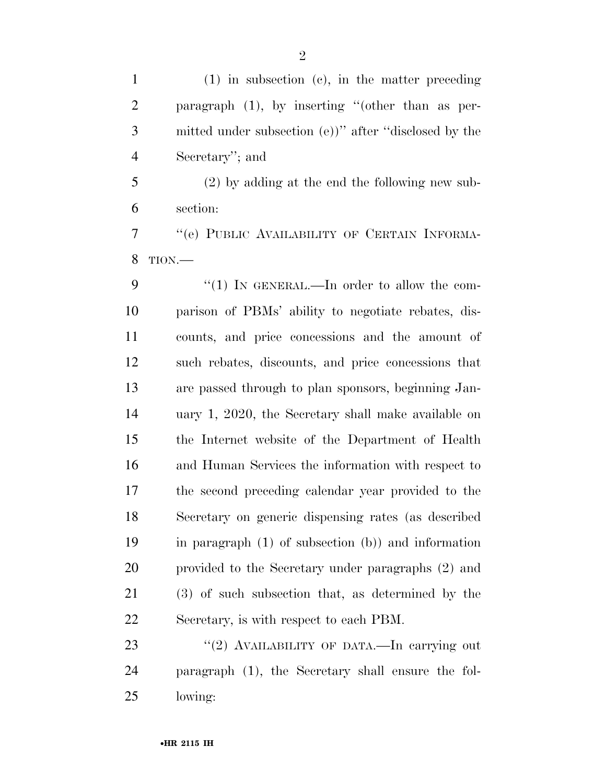(1) in subsection (c), in the matter preceding paragraph (1), by inserting ''(other than as per- mitted under subsection (e))'' after ''disclosed by the Secretary''; and

 (2) by adding at the end the following new sub-section:

 ''(e) PUBLIC AVAILABILITY OF CERTAIN INFORMA-TION.—

9 "(1) IN GENERAL.—In order to allow the com- parison of PBMs' ability to negotiate rebates, dis- counts, and price concessions and the amount of such rebates, discounts, and price concessions that are passed through to plan sponsors, beginning Jan- uary 1, 2020, the Secretary shall make available on the Internet website of the Department of Health and Human Services the information with respect to the second preceding calendar year provided to the Secretary on generic dispensing rates (as described in paragraph (1) of subsection (b)) and information provided to the Secretary under paragraphs (2) and (3) of such subsection that, as determined by the Secretary, is with respect to each PBM.

23 "(2) AVAILABILITY OF DATA.—In carrying out paragraph (1), the Secretary shall ensure the fol-lowing: